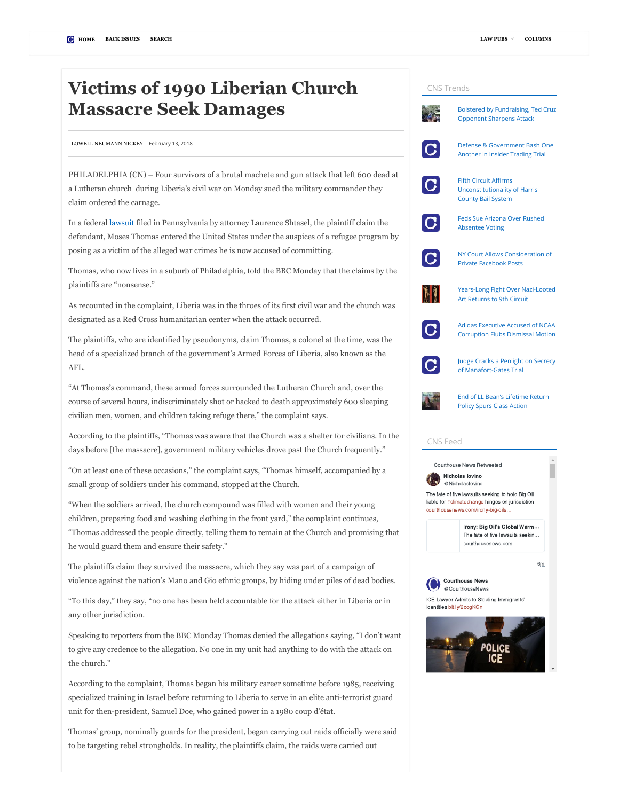## Victims of 1990 Liberian Church Massacre Seek Damages

[LOWELL NEUMANN NICKEY](https://www.courthousenews.com/victims-of-1990-liberian-church-massacre-seek-damages/%3Ca%20href=) [February 13, 2018](https://www.courthousenews.com/victims-of-1990-liberian-church-massacre-seek-damages/)

PHILADELPHIA (CN) – Four survivors of a brutal machete and gun attack that left 600 dead at a Lutheran church during Liberia's civil war on Monday sued the military commander they claim ordered the carnage.

In a federal [lawsuit](http://www.courthousenews.com/wp-content/uploads/2018/02/MosesThomas.pdf) filed in Pennsylvania by attorney Laurence Shtasel, the plaintiff claim the defendant, Moses Thomas entered the United States under the auspices of a refugee program by posing as a victim of the alleged war crimes he is now accused of committing.

Thomas, who now lives in a suburb of Philadelphia, told the BBC Monday that the claims by the plaintiffs are "nonsense."

As recounted in the complaint, Liberia was in the throes of its first civil war and the church was designated as a Red Cross humanitarian center when the attack occurred.

The plaintiffs, who are identified by pseudonyms, claim Thomas, a colonel at the time, was the head of a specialized branch of the government's Armed Forces of Liberia, also known as the AFL.

"At Thomas's command, these armed forces surrounded the Lutheran Church and, over the course of several hours, indiscriminately shot or hacked to death approximately 600 sleeping civilian men, women, and children taking refuge there," the complaint says.

According to the plaintiffs, "Thomas was aware that the Church was a shelter for civilians. In the days before [the massacre], government military vehicles drove past the Church frequently."

"On at least one of these occasions," the complaint says, "Thomas himself, accompanied by a small group of soldiers under his command, stopped at the Church.

"When the soldiers arrived, the church compound was filled with women and their young children, preparing food and washing clothing in the front yard," the complaint continues, "Thomas addressed the people directly, telling them to remain at the Church and promising that he would guard them and ensure their safety."

The plaintiffs claim they survived the massacre, which they say was part of a campaign of violence against the nation's Mano and Gio ethnic groups, by hiding under piles of dead bodies.

"To this day," they say, "no one has been held accountable for the attack either in Liberia or in any other jurisdiction.

Speaking to reporters from the BBC Monday Thomas denied the allegations saying, "I don't want to give any credence to the allegation. No one in my unit had anything to do with the attack on the church."

According to the complaint, Thomas began his military career sometime before 1985, receiving specialized training in Israel before returning to Liberia to serve in an elite anti-terrorist guard unit for then-president, Samuel Doe, who gained power in a 1980 coup d'état.

Thomas' group, nominally guards for the president, began carrying out raids officially were said to be targeting rebel strongholds. In reality, the plaintiffs claim, the raids were carried out

## CNS Trends [Bolstered by Fundraising, Ted Cruz](https://www.courthousenews.com/bolstered-by-fundraising-ted-cruz-opponent-sharpens-attack/) Opponent Sharpens Attack [Defense & Government Bash One](https://www.courthousenews.com/defense-government-bash-one-another-in-insider-trading-trial/)  $\overline{C}$ Another in Insider Trading Trial Fifth Circuit Affirms I G [Unconstitutionality of Harris](https://www.courthousenews.com/fifth-circuit-affirms-unconstitutionality-of-harris-county-bail-system/) County Bail System [Feds Sue Arizona Over Rushed](https://www.courthousenews.com/feds-sue-arizona-over-absentee-ballot-fiasco/)  $\overline{G}$ Absentee Voting [NY Court Allows Consideration of](https://www.courthousenews.com/ny-court-allows-consideration-of-private-facebook-posts/)  $|{\bf C}|$ Private Facebook Posts **MI** [Years-Long Fight Over Nazi-Looted](https://www.courthousenews.com/years-long-fight-over-nazi-looted-returns-to-9th-circuit/) Art Returns to 9th Circuit Adidas Executive Accused of NCAA  $\overline{G}$ [Corruption Flubs Dismissal Motion](https://www.courthousenews.com/adidas-executive-accused-of-ncaa-corruption-flubs-dismissal-motion/) [Judge Cracks a Penlight on Secrecy](https://www.courthousenews.com/judge-cracks-a-penlight-on-secrecy-of-manafort-gates-trial/) C of Manafort-Gates Trial [End of LL Bean's Lifetime Return](https://www.courthousenews.com/end-of-ll-beans-lifetime-return-policy-spurs-class-action/) Policy Spurs Class Action CNS Feed Courthouse News Retweeted Nicholas Iovino [@NicholasIovino](https://twitter.com/NicholasIovino) The fate of five lawsuits seeking to hold Big Oil liable for [#climatechange](https://twitter.com/hashtag/climatechange?src=hash) hinges on jurisdiction [courthousenews.com/irony-big-oils…](https://t.co/d5KrMyHzOc) [Irony: Big Oil's Global Warm…](https://t.co/d5KrMyHzOc) The fate of five lawsuits seekin… courthousenews.com [6m](https://twitter.com/NicholasIovino/status/964569183534030849) Courthouse News [@CourthouseNews](https://twitter.com/CourthouseNews) ICE Lawyer Admits to Stealing Immigrants' Identities [bit.ly/2odgKGn](https://t.co/0zfY0y3h2D) **POLICE**